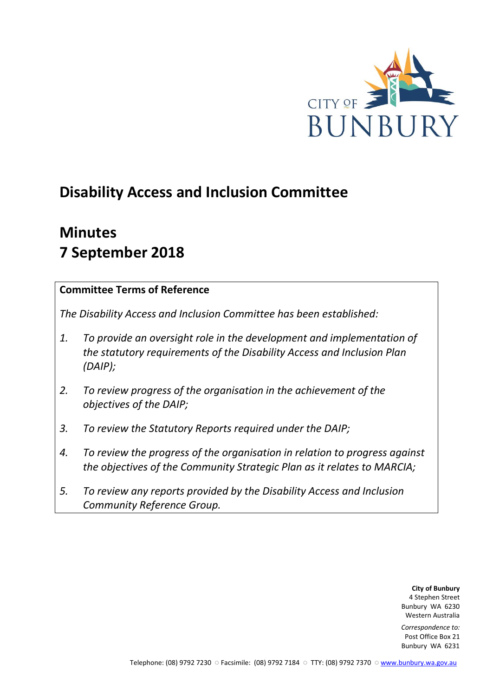

# **Disability Access and Inclusion Committee**

# **Minutes 7 September 2018**

## **Committee Terms of Reference**

*The Disability Access and Inclusion Committee has been established:* 

- *1. To provide an oversight role in the development and implementation of the statutory requirements of the Disability Access and Inclusion Plan (DAIP);*
- *2. To review progress of the organisation in the achievement of the objectives of the DAIP;*
- *3. To review the Statutory Reports required under the DAIP;*
- *4. To review the progress of the organisation in relation to progress against the objectives of the Community Strategic Plan as it relates to MARCIA;*
- *5. To review any reports provided by the Disability Access and Inclusion Community Reference Group.*

**City of Bunbury** 4 Stephen Street Bunbury WA 6230 Western Australia

*Correspondence to:* Post Office Box 21 Bunbury WA 6231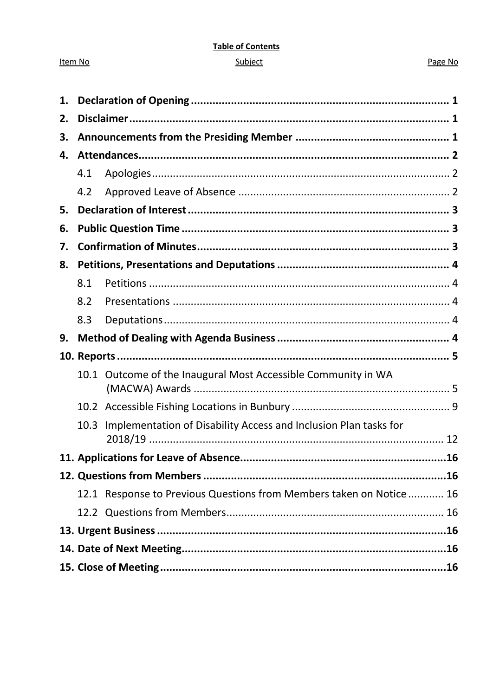#### **Table of Contents**

#### Subject

#### Page No

| 1. |      |                                                                     |  |
|----|------|---------------------------------------------------------------------|--|
| 2. |      |                                                                     |  |
| 3. |      |                                                                     |  |
| 4. |      |                                                                     |  |
|    | 4.1  |                                                                     |  |
|    | 4.2  |                                                                     |  |
| 5. |      |                                                                     |  |
| 6. |      |                                                                     |  |
| 7. |      |                                                                     |  |
| 8. |      |                                                                     |  |
|    | 8.1  |                                                                     |  |
|    | 8.2  |                                                                     |  |
|    | 8.3  |                                                                     |  |
| 9. |      |                                                                     |  |
|    |      |                                                                     |  |
|    |      | 10.1 Outcome of the Inaugural Most Accessible Community in WA       |  |
|    |      |                                                                     |  |
|    | 10.3 | Implementation of Disability Access and Inclusion Plan tasks for    |  |
|    |      |                                                                     |  |
|    |      |                                                                     |  |
|    |      | 12.1 Response to Previous Questions from Members taken on Notice 16 |  |
|    |      |                                                                     |  |
|    |      |                                                                     |  |
|    |      |                                                                     |  |
|    |      |                                                                     |  |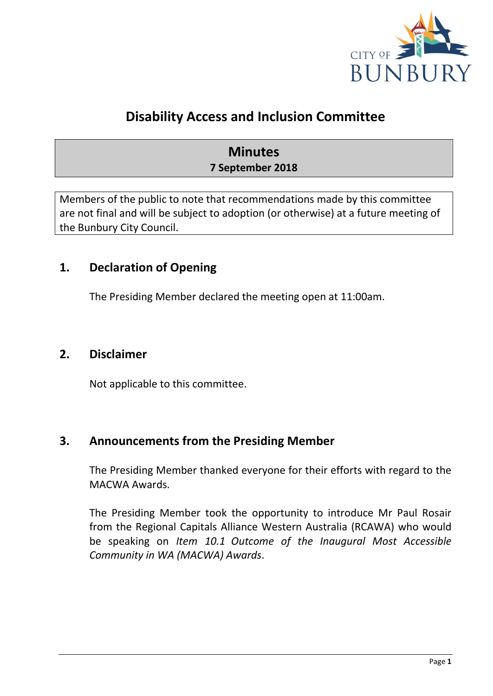

## **Disability Access and Inclusion Committee**

## **Minutes 7 September 2018**

Members of the public to note that recommendations made by this committee are not final and will be subject to adoption (or otherwise) at a future meeting of the Bunbury City Council.

## <span id="page-2-0"></span>**1. Declaration of Opening**

The Presiding Member declared the meeting open at 11:00am.

## <span id="page-2-1"></span>**2. Disclaimer**

Not applicable to this committee.

## <span id="page-2-2"></span>**3. Announcements from the Presiding Member**

The Presiding Member thanked everyone for their efforts with regard to the MACWA Awards.

The Presiding Member took the opportunity to introduce Mr Paul Rosair from the Regional Capitals Alliance Western Australia (RCAWA) who would be speaking on *Item 10.1 Outcome of the Inaugural Most Accessible Community in WA (MACWA) Awards*.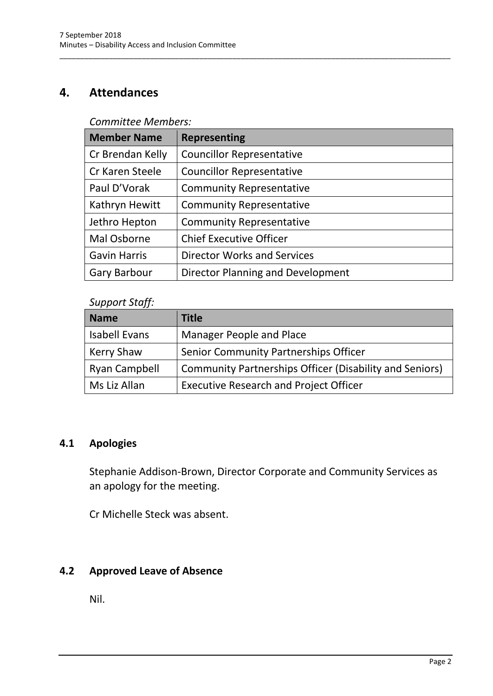## <span id="page-3-0"></span>**4. Attendances**

### *Committee Members:*

| <b>Member Name</b>  | <b>Representing</b>                |
|---------------------|------------------------------------|
| Cr Brendan Kelly    | <b>Councillor Representative</b>   |
| Cr Karen Steele     | <b>Councillor Representative</b>   |
| Paul D'Vorak        | <b>Community Representative</b>    |
| Kathryn Hewitt      | <b>Community Representative</b>    |
| Jethro Hepton       | <b>Community Representative</b>    |
| Mal Osborne         | <b>Chief Executive Officer</b>     |
| <b>Gavin Harris</b> | <b>Director Works and Services</b> |
| <b>Gary Barbour</b> | Director Planning and Development  |

\_\_\_\_\_\_\_\_\_\_\_\_\_\_\_\_\_\_\_\_\_\_\_\_\_\_\_\_\_\_\_\_\_\_\_\_\_\_\_\_\_\_\_\_\_\_\_\_\_\_\_\_\_\_\_\_\_\_\_\_\_\_\_\_\_\_\_\_\_\_\_\_\_\_\_\_\_\_\_\_\_\_\_\_\_\_\_\_\_\_\_\_\_\_\_

#### *Support Staff:*

| <b>Name</b>          | <b>Title</b>                                                   |
|----------------------|----------------------------------------------------------------|
| Isabell Evans        | Manager People and Place                                       |
| <b>Kerry Shaw</b>    | Senior Community Partnerships Officer                          |
| <b>Ryan Campbell</b> | <b>Community Partnerships Officer (Disability and Seniors)</b> |
| Ms Liz Allan         | <b>Executive Research and Project Officer</b>                  |

## <span id="page-3-1"></span>**4.1 Apologies**

Stephanie Addison-Brown, Director Corporate and Community Services as an apology for the meeting.

Cr Michelle Steck was absent.

## <span id="page-3-2"></span>**4.2 Approved Leave of Absence**

Nil.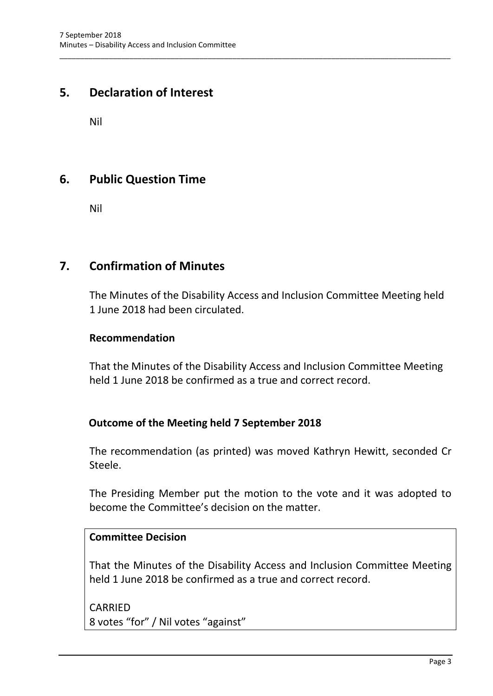## <span id="page-4-0"></span>**5. Declaration of Interest**

Nil

## <span id="page-4-1"></span>**6. Public Question Time**

Nil

## <span id="page-4-2"></span>**7. Confirmation of Minutes**

The Minutes of the Disability Access and Inclusion Committee Meeting held 1 June 2018 had been circulated.

\_\_\_\_\_\_\_\_\_\_\_\_\_\_\_\_\_\_\_\_\_\_\_\_\_\_\_\_\_\_\_\_\_\_\_\_\_\_\_\_\_\_\_\_\_\_\_\_\_\_\_\_\_\_\_\_\_\_\_\_\_\_\_\_\_\_\_\_\_\_\_\_\_\_\_\_\_\_\_\_\_\_\_\_\_\_\_\_\_\_\_\_\_\_\_

#### **Recommendation**

That the Minutes of the Disability Access and Inclusion Committee Meeting held 1 June 2018 be confirmed as a true and correct record.

## **Outcome of the Meeting held 7 September 2018**

The recommendation (as printed) was moved Kathryn Hewitt, seconded Cr Steele.

The Presiding Member put the motion to the vote and it was adopted to become the Committee's decision on the matter.

## **Committee Decision**

That the Minutes of the Disability Access and Inclusion Committee Meeting held 1 June 2018 be confirmed as a true and correct record.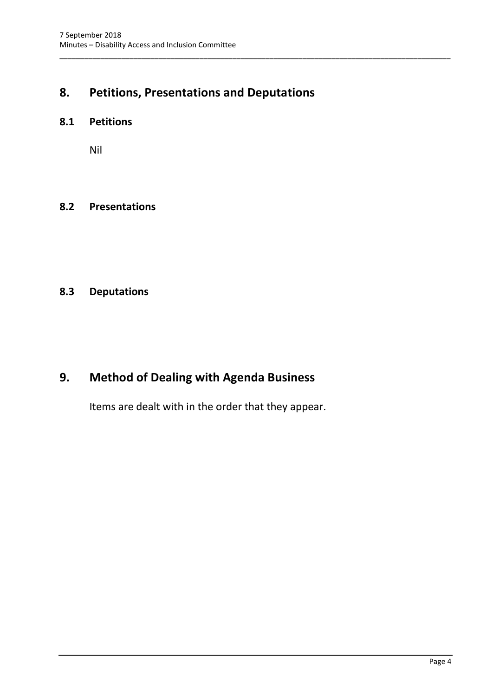## <span id="page-5-0"></span>**8. Petitions, Presentations and Deputations**

\_\_\_\_\_\_\_\_\_\_\_\_\_\_\_\_\_\_\_\_\_\_\_\_\_\_\_\_\_\_\_\_\_\_\_\_\_\_\_\_\_\_\_\_\_\_\_\_\_\_\_\_\_\_\_\_\_\_\_\_\_\_\_\_\_\_\_\_\_\_\_\_\_\_\_\_\_\_\_\_\_\_\_\_\_\_\_\_\_\_\_\_\_\_\_

### <span id="page-5-1"></span>**8.1 Petitions**

Nil

#### <span id="page-5-2"></span>**8.2 Presentations**

## <span id="page-5-3"></span>**8.3 Deputations**

## <span id="page-5-4"></span>**9. Method of Dealing with Agenda Business**

Items are dealt with in the order that they appear.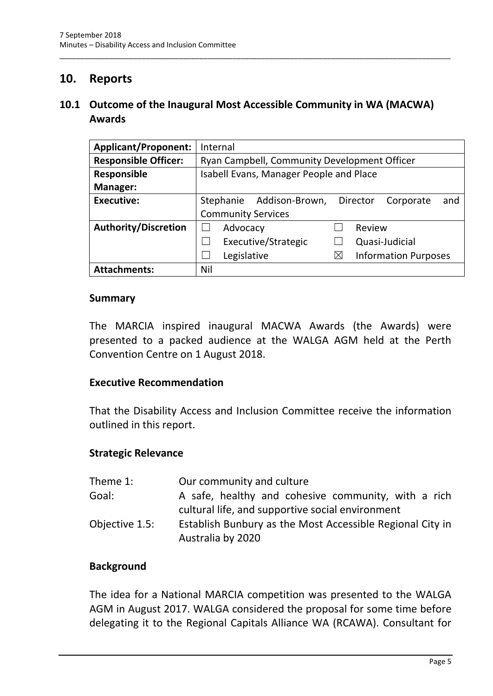## <span id="page-6-0"></span>**10. Reports**

## <span id="page-6-1"></span>**10.1 Outcome of the Inaugural Most Accessible Community in WA (MACWA) Awards**

\_\_\_\_\_\_\_\_\_\_\_\_\_\_\_\_\_\_\_\_\_\_\_\_\_\_\_\_\_\_\_\_\_\_\_\_\_\_\_\_\_\_\_\_\_\_\_\_\_\_\_\_\_\_\_\_\_\_\_\_\_\_\_\_\_\_\_\_\_\_\_\_\_\_\_\_\_\_\_\_\_\_\_\_\_\_\_\_\_\_\_\_\_\_\_

| <b>Applicant/Proponent:</b> | Internal                                                    |
|-----------------------------|-------------------------------------------------------------|
| <b>Responsible Officer:</b> | Ryan Campbell, Community Development Officer                |
| Responsible                 | Isabell Evans, Manager People and Place                     |
| Manager:                    |                                                             |
| <b>Executive:</b>           | Addison-Brown,<br>Stephanie<br>Director<br>Corporate<br>and |
|                             | <b>Community Services</b>                                   |
| <b>Authority/Discretion</b> | Review<br>Advocacy                                          |
|                             | Executive/Strategic<br>Quasi-Judicial                       |
|                             | <b>Information Purposes</b><br>Legislative<br>$\times$      |
| <b>Attachments:</b>         | Nil                                                         |

#### **Summary**

The MARCIA inspired inaugural MACWA Awards (the Awards) were presented to a packed audience at the WALGA AGM held at the Perth Convention Centre on 1 August 2018.

#### **Executive Recommendation**

That the Disability Access and Inclusion Committee receive the information outlined in this report.

#### **Strategic Relevance**

| Theme 1:       | Our community and culture                                                                               |
|----------------|---------------------------------------------------------------------------------------------------------|
| Goal:          | A safe, healthy and cohesive community, with a rich<br>cultural life, and supportive social environment |
| Objective 1.5: | Establish Bunbury as the Most Accessible Regional City in<br>Australia by 2020                          |

#### **Background**

The idea for a National MARCIA competition was presented to the WALGA AGM in August 2017. WALGA considered the proposal for some time before delegating it to the Regional Capitals Alliance WA (RCAWA). Consultant for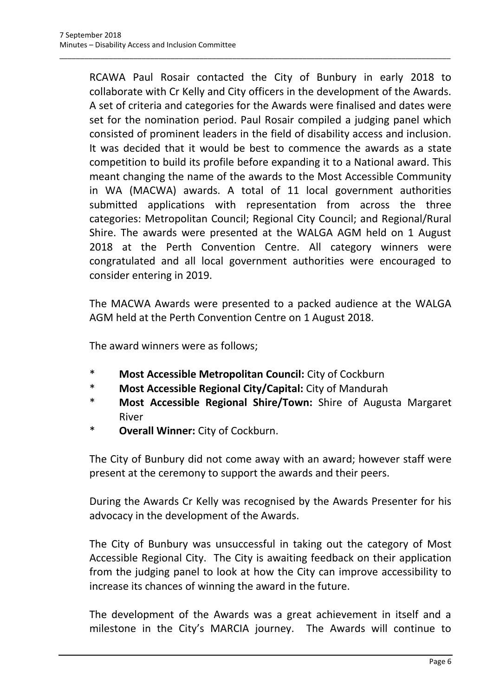RCAWA Paul Rosair contacted the City of Bunbury in early 2018 to collaborate with Cr Kelly and City officers in the development of the Awards. A set of criteria and categories for the Awards were finalised and dates were set for the nomination period. Paul Rosair compiled a judging panel which consisted of prominent leaders in the field of disability access and inclusion. It was decided that it would be best to commence the awards as a state competition to build its profile before expanding it to a National award. This meant changing the name of the awards to the Most Accessible Community in WA (MACWA) awards. A total of 11 local government authorities submitted applications with representation from across the three categories: Metropolitan Council; Regional City Council; and Regional/Rural Shire. The awards were presented at the WALGA AGM held on 1 August 2018 at the Perth Convention Centre. All category winners were congratulated and all local government authorities were encouraged to consider entering in 2019.

\_\_\_\_\_\_\_\_\_\_\_\_\_\_\_\_\_\_\_\_\_\_\_\_\_\_\_\_\_\_\_\_\_\_\_\_\_\_\_\_\_\_\_\_\_\_\_\_\_\_\_\_\_\_\_\_\_\_\_\_\_\_\_\_\_\_\_\_\_\_\_\_\_\_\_\_\_\_\_\_\_\_\_\_\_\_\_\_\_\_\_\_\_\_\_

The MACWA Awards were presented to a packed audience at the WALGA AGM held at the Perth Convention Centre on 1 August 2018.

The award winners were as follows;

- \* **Most Accessible Metropolitan Council:** City of Cockburn
- \* **Most Accessible Regional City/Capital:** City of Mandurah
- \* **Most Accessible Regional Shire/Town:** Shire of Augusta Margaret River
- \* **Overall Winner:** City of Cockburn.

The City of Bunbury did not come away with an award; however staff were present at the ceremony to support the awards and their peers.

During the Awards Cr Kelly was recognised by the Awards Presenter for his advocacy in the development of the Awards.

The City of Bunbury was unsuccessful in taking out the category of Most Accessible Regional City. The City is awaiting feedback on their application from the judging panel to look at how the City can improve accessibility to increase its chances of winning the award in the future.

The development of the Awards was a great achievement in itself and a milestone in the City's MARCIA journey. The Awards will continue to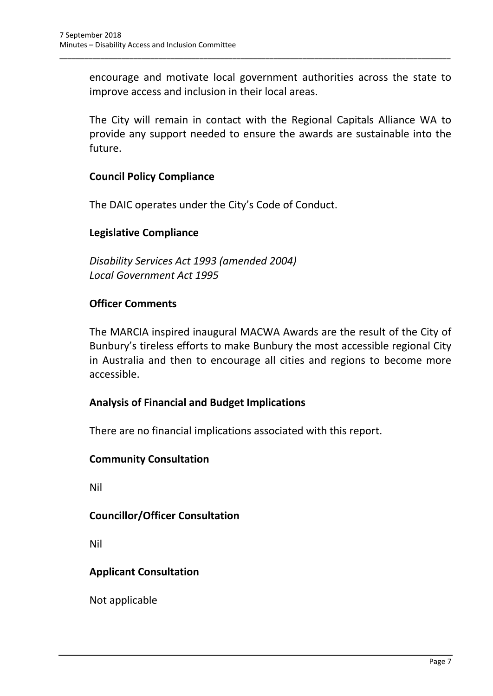encourage and motivate local government authorities across the state to improve access and inclusion in their local areas.

\_\_\_\_\_\_\_\_\_\_\_\_\_\_\_\_\_\_\_\_\_\_\_\_\_\_\_\_\_\_\_\_\_\_\_\_\_\_\_\_\_\_\_\_\_\_\_\_\_\_\_\_\_\_\_\_\_\_\_\_\_\_\_\_\_\_\_\_\_\_\_\_\_\_\_\_\_\_\_\_\_\_\_\_\_\_\_\_\_\_\_\_\_\_\_

The City will remain in contact with the Regional Capitals Alliance WA to provide any support needed to ensure the awards are sustainable into the future.

## **Council Policy Compliance**

The DAIC operates under the City's Code of Conduct.

#### **Legislative Compliance**

*Disability Services Act 1993 (amended 2004) Local Government Act 1995*

#### **Officer Comments**

The MARCIA inspired inaugural MACWA Awards are the result of the City of Bunbury's tireless efforts to make Bunbury the most accessible regional City in Australia and then to encourage all cities and regions to become more accessible.

## **Analysis of Financial and Budget Implications**

There are no financial implications associated with this report.

#### **Community Consultation**

Nil

## **Councillor/Officer Consultation**

Nil

## **Applicant Consultation**

Not applicable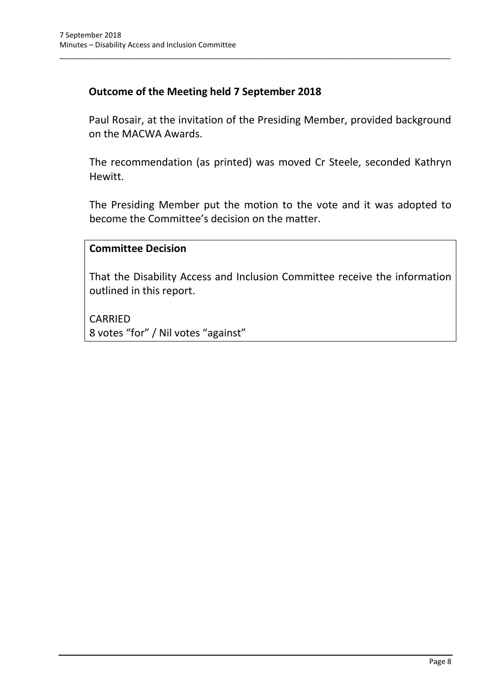## **Outcome of the Meeting held 7 September 2018**

Paul Rosair, at the invitation of the Presiding Member, provided background on the MACWA Awards.

\_\_\_\_\_\_\_\_\_\_\_\_\_\_\_\_\_\_\_\_\_\_\_\_\_\_\_\_\_\_\_\_\_\_\_\_\_\_\_\_\_\_\_\_\_\_\_\_\_\_\_\_\_\_\_\_\_\_\_\_\_\_\_\_\_\_\_\_\_\_\_\_\_\_\_\_\_\_\_\_\_\_\_\_\_\_\_\_\_\_\_\_\_\_\_

The recommendation (as printed) was moved Cr Steele, seconded Kathryn Hewitt.

The Presiding Member put the motion to the vote and it was adopted to become the Committee's decision on the matter.

#### **Committee Decision**

That the Disability Access and Inclusion Committee receive the information outlined in this report.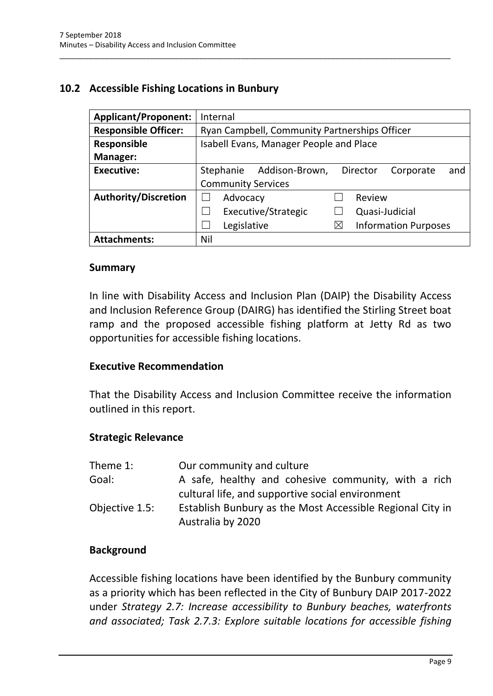## <span id="page-10-0"></span>**10.2 Accessible Fishing Locations in Bunbury**

| <b>Applicant/Proponent:</b> | Internal                                                    |
|-----------------------------|-------------------------------------------------------------|
| <b>Responsible Officer:</b> | Ryan Campbell, Community Partnerships Officer               |
| Responsible                 | Isabell Evans, Manager People and Place                     |
| Manager:                    |                                                             |
| <b>Executive:</b>           | Stephanie<br>Addison-Brown,<br>Director<br>Corporate<br>and |
|                             | <b>Community Services</b>                                   |
| <b>Authority/Discretion</b> | Advocacy<br>Review                                          |
|                             | Executive/Strategic<br>Quasi-Judicial                       |
|                             | <b>Information Purposes</b><br>Legislative<br>⋉             |
| <b>Attachments:</b>         | Nil                                                         |

\_\_\_\_\_\_\_\_\_\_\_\_\_\_\_\_\_\_\_\_\_\_\_\_\_\_\_\_\_\_\_\_\_\_\_\_\_\_\_\_\_\_\_\_\_\_\_\_\_\_\_\_\_\_\_\_\_\_\_\_\_\_\_\_\_\_\_\_\_\_\_\_\_\_\_\_\_\_\_\_\_\_\_\_\_\_\_\_\_\_\_\_\_\_\_

#### **Summary**

In line with Disability Access and Inclusion Plan (DAIP) the Disability Access and Inclusion Reference Group (DAIRG) has identified the Stirling Street boat ramp and the proposed accessible fishing platform at Jetty Rd as two opportunities for accessible fishing locations.

#### **Executive Recommendation**

That the Disability Access and Inclusion Committee receive the information outlined in this report.

#### **Strategic Relevance**

| Theme 1:       | Our community and culture                                 |
|----------------|-----------------------------------------------------------|
| Goal:          | A safe, healthy and cohesive community, with a rich       |
|                | cultural life, and supportive social environment          |
| Objective 1.5: | Establish Bunbury as the Most Accessible Regional City in |
|                | Australia by 2020                                         |

#### **Background**

Accessible fishing locations have been identified by the Bunbury community as a priority which has been reflected in the City of Bunbury DAIP 2017-2022 under *Strategy 2.7: Increase accessibility to Bunbury beaches, waterfronts and associated; Task 2.7.3: Explore suitable locations for accessible fishing*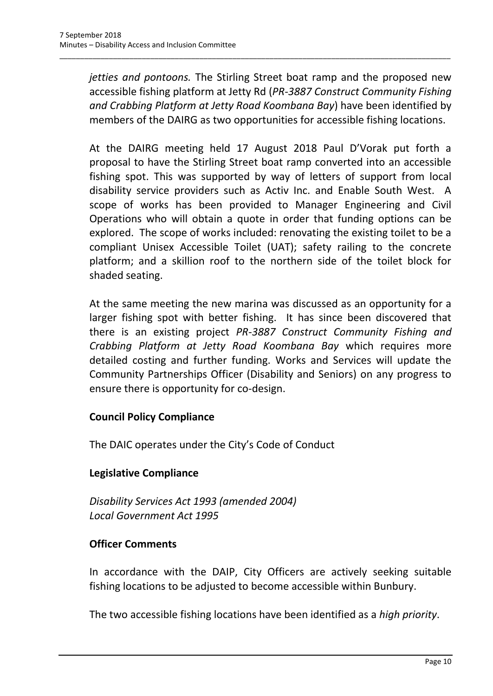*jetties and pontoons.* The Stirling Street boat ramp and the proposed new accessible fishing platform at Jetty Rd (*PR-3887 Construct Community Fishing and Crabbing Platform at Jetty Road Koombana Bay*) have been identified by members of the DAIRG as two opportunities for accessible fishing locations.

\_\_\_\_\_\_\_\_\_\_\_\_\_\_\_\_\_\_\_\_\_\_\_\_\_\_\_\_\_\_\_\_\_\_\_\_\_\_\_\_\_\_\_\_\_\_\_\_\_\_\_\_\_\_\_\_\_\_\_\_\_\_\_\_\_\_\_\_\_\_\_\_\_\_\_\_\_\_\_\_\_\_\_\_\_\_\_\_\_\_\_\_\_\_\_

At the DAIRG meeting held 17 August 2018 Paul D'Vorak put forth a proposal to have the Stirling Street boat ramp converted into an accessible fishing spot. This was supported by way of letters of support from local disability service providers such as Activ Inc. and Enable South West. A scope of works has been provided to Manager Engineering and Civil Operations who will obtain a quote in order that funding options can be explored. The scope of works included: renovating the existing toilet to be a compliant Unisex Accessible Toilet (UAT); safety railing to the concrete platform; and a skillion roof to the northern side of the toilet block for shaded seating.

At the same meeting the new marina was discussed as an opportunity for a larger fishing spot with better fishing. It has since been discovered that there is an existing project *PR-3887 Construct Community Fishing and Crabbing Platform at Jetty Road Koombana Bay* which requires more detailed costing and further funding. Works and Services will update the Community Partnerships Officer (Disability and Seniors) on any progress to ensure there is opportunity for co-design.

## **Council Policy Compliance**

The DAIC operates under the City's Code of Conduct

## **Legislative Compliance**

*Disability Services Act 1993 (amended 2004) Local Government Act 1995*

## **Officer Comments**

In accordance with the DAIP, City Officers are actively seeking suitable fishing locations to be adjusted to become accessible within Bunbury.

The two accessible fishing locations have been identified as a *high priority*.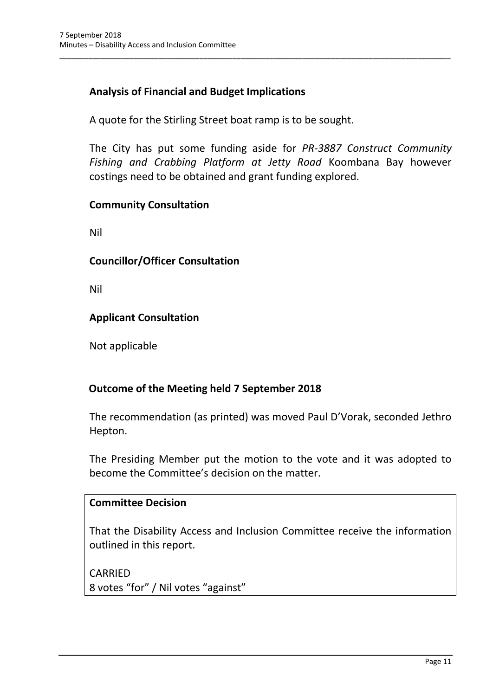## **Analysis of Financial and Budget Implications**

A quote for the Stirling Street boat ramp is to be sought.

The City has put some funding aside for *PR-3887 Construct Community Fishing and Crabbing Platform at Jetty Road* Koombana Bay however costings need to be obtained and grant funding explored.

\_\_\_\_\_\_\_\_\_\_\_\_\_\_\_\_\_\_\_\_\_\_\_\_\_\_\_\_\_\_\_\_\_\_\_\_\_\_\_\_\_\_\_\_\_\_\_\_\_\_\_\_\_\_\_\_\_\_\_\_\_\_\_\_\_\_\_\_\_\_\_\_\_\_\_\_\_\_\_\_\_\_\_\_\_\_\_\_\_\_\_\_\_\_\_

## **Community Consultation**

Nil

## **Councillor/Officer Consultation**

Nil

## **Applicant Consultation**

Not applicable

## **Outcome of the Meeting held 7 September 2018**

The recommendation (as printed) was moved Paul D'Vorak, seconded Jethro Hepton.

The Presiding Member put the motion to the vote and it was adopted to become the Committee's decision on the matter.

#### **Committee Decision**

That the Disability Access and Inclusion Committee receive the information outlined in this report.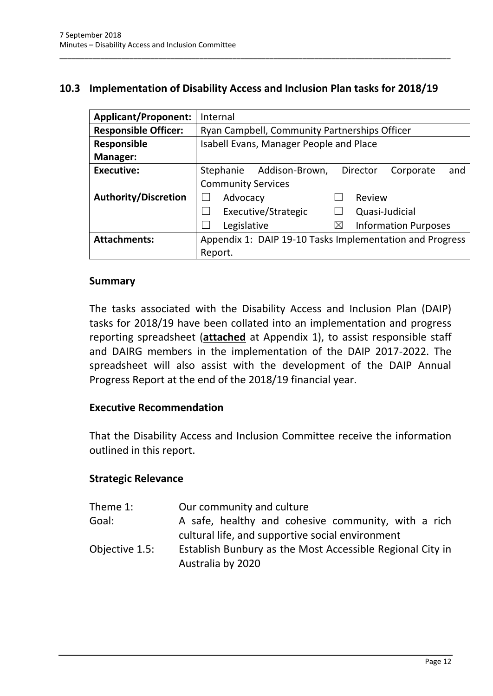## <span id="page-13-0"></span>**10.3 Implementation of Disability Access and Inclusion Plan tasks for 2018/19**

\_\_\_\_\_\_\_\_\_\_\_\_\_\_\_\_\_\_\_\_\_\_\_\_\_\_\_\_\_\_\_\_\_\_\_\_\_\_\_\_\_\_\_\_\_\_\_\_\_\_\_\_\_\_\_\_\_\_\_\_\_\_\_\_\_\_\_\_\_\_\_\_\_\_\_\_\_\_\_\_\_\_\_\_\_\_\_\_\_\_\_\_\_\_\_

| <b>Applicant/Proponent:</b> | Internal                                                           |
|-----------------------------|--------------------------------------------------------------------|
| <b>Responsible Officer:</b> | Ryan Campbell, Community Partnerships Officer                      |
| Responsible                 | Isabell Evans, Manager People and Place                            |
| <b>Manager:</b>             |                                                                    |
| <b>Executive:</b>           | Addison-Brown,<br>Stephanie<br><b>Director</b><br>and<br>Corporate |
|                             | <b>Community Services</b>                                          |
| <b>Authority/Discretion</b> | Advocacy<br>Review                                                 |
|                             | Executive/Strategic<br>Quasi-Judicial                              |
|                             | <b>Information Purposes</b><br>Legislative<br>⋉                    |
| <b>Attachments:</b>         | Appendix 1: DAIP 19-10 Tasks Implementation and Progress           |
|                             | Report.                                                            |

#### **Summary**

The tasks associated with the Disability Access and Inclusion Plan (DAIP) tasks for 2018/19 have been collated into an implementation and progress reporting spreadsheet (**attached** at Appendix 1), to assist responsible staff and DAIRG members in the implementation of the DAIP 2017-2022. The spreadsheet will also assist with the development of the DAIP Annual Progress Report at the end of the 2018/19 financial year.

#### **Executive Recommendation**

That the Disability Access and Inclusion Committee receive the information outlined in this report.

#### **Strategic Relevance**

| Theme 1:       | Our community and culture                                 |
|----------------|-----------------------------------------------------------|
| Goal:          | A safe, healthy and cohesive community, with a rich       |
|                | cultural life, and supportive social environment          |
| Objective 1.5: | Establish Bunbury as the Most Accessible Regional City in |
|                | Australia by 2020                                         |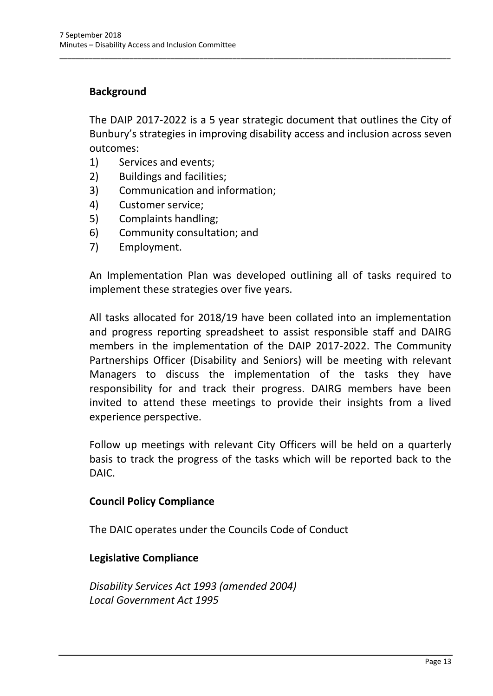## **Background**

The DAIP 2017-2022 is a 5 year strategic document that outlines the City of Bunbury's strategies in improving disability access and inclusion across seven outcomes:

\_\_\_\_\_\_\_\_\_\_\_\_\_\_\_\_\_\_\_\_\_\_\_\_\_\_\_\_\_\_\_\_\_\_\_\_\_\_\_\_\_\_\_\_\_\_\_\_\_\_\_\_\_\_\_\_\_\_\_\_\_\_\_\_\_\_\_\_\_\_\_\_\_\_\_\_\_\_\_\_\_\_\_\_\_\_\_\_\_\_\_\_\_\_\_

- 1) Services and events;
- 2) Buildings and facilities;
- 3) Communication and information;
- 4) Customer service;
- 5) Complaints handling;
- 6) Community consultation; and
- 7) Employment.

An Implementation Plan was developed outlining all of tasks required to implement these strategies over five years.

All tasks allocated for 2018/19 have been collated into an implementation and progress reporting spreadsheet to assist responsible staff and DAIRG members in the implementation of the DAIP 2017-2022. The Community Partnerships Officer (Disability and Seniors) will be meeting with relevant Managers to discuss the implementation of the tasks they have responsibility for and track their progress. DAIRG members have been invited to attend these meetings to provide their insights from a lived experience perspective.

Follow up meetings with relevant City Officers will be held on a quarterly basis to track the progress of the tasks which will be reported back to the DAIC.

#### **Council Policy Compliance**

The DAIC operates under the Councils Code of Conduct

#### **Legislative Compliance**

*Disability Services Act 1993 (amended 2004) Local Government Act 1995*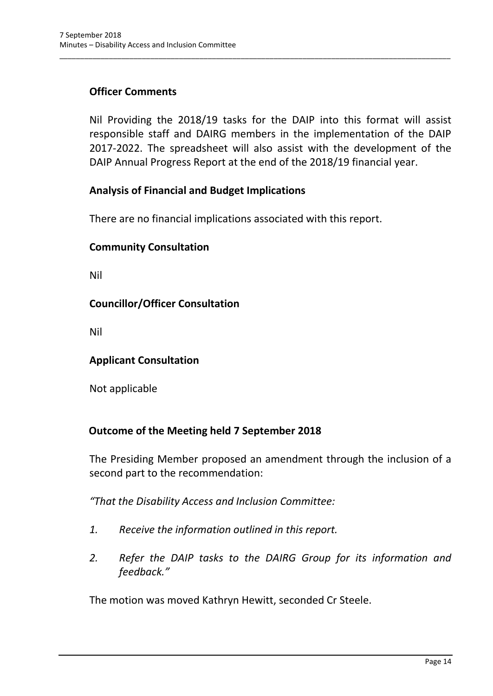## **Officer Comments**

Nil Providing the 2018/19 tasks for the DAIP into this format will assist responsible staff and DAIRG members in the implementation of the DAIP 2017-2022. The spreadsheet will also assist with the development of the DAIP Annual Progress Report at the end of the 2018/19 financial year.

\_\_\_\_\_\_\_\_\_\_\_\_\_\_\_\_\_\_\_\_\_\_\_\_\_\_\_\_\_\_\_\_\_\_\_\_\_\_\_\_\_\_\_\_\_\_\_\_\_\_\_\_\_\_\_\_\_\_\_\_\_\_\_\_\_\_\_\_\_\_\_\_\_\_\_\_\_\_\_\_\_\_\_\_\_\_\_\_\_\_\_\_\_\_\_

#### **Analysis of Financial and Budget Implications**

There are no financial implications associated with this report.

#### **Community Consultation**

Nil

#### **Councillor/Officer Consultation**

Nil

#### **Applicant Consultation**

Not applicable

#### **Outcome of the Meeting held 7 September 2018**

The Presiding Member proposed an amendment through the inclusion of a second part to the recommendation:

*"That the Disability Access and Inclusion Committee:*

- *1. Receive the information outlined in this report.*
- *2. Refer the DAIP tasks to the DAIRG Group for its information and feedback."*

The motion was moved Kathryn Hewitt, seconded Cr Steele.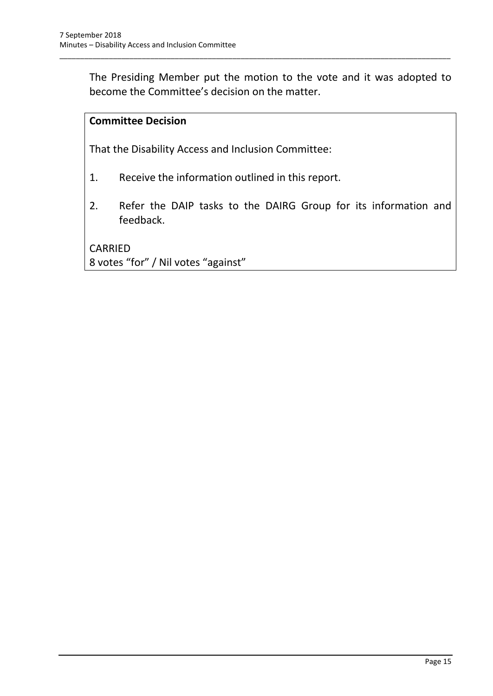The Presiding Member put the motion to the vote and it was adopted to become the Committee's decision on the matter.

\_\_\_\_\_\_\_\_\_\_\_\_\_\_\_\_\_\_\_\_\_\_\_\_\_\_\_\_\_\_\_\_\_\_\_\_\_\_\_\_\_\_\_\_\_\_\_\_\_\_\_\_\_\_\_\_\_\_\_\_\_\_\_\_\_\_\_\_\_\_\_\_\_\_\_\_\_\_\_\_\_\_\_\_\_\_\_\_\_\_\_\_\_\_\_

## **Committee Decision**

That the Disability Access and Inclusion Committee:

- 1. Receive the information outlined in this report.
- 2. Refer the DAIP tasks to the DAIRG Group for its information and feedback.